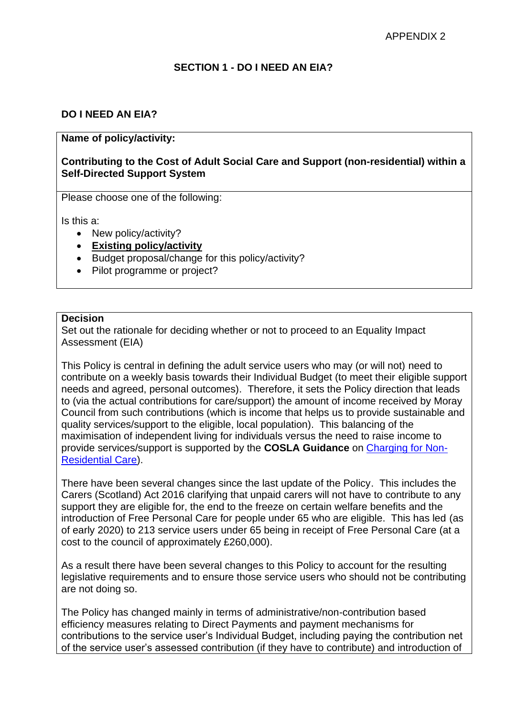### **SECTION 1 - DO I NEED AN EIA?**

## **DO I NEED AN EIA?**

### **Name of policy/activity:**

### **Contributing to the Cost of Adult Social Care and Support (non-residential) within a Self-Directed Support System**

Please choose one of the following:

Is this a:

- New policy/activity?
- **Existing policy/activity**
- Budget proposal/change for this policy/activity?
- Pilot programme or project?

#### **Decision**

Set out the rationale for deciding whether or not to proceed to an Equality Impact Assessment (EIA)

This Policy is central in defining the adult service users who may (or will not) need to contribute on a weekly basis towards their Individual Budget (to meet their eligible support needs and agreed, personal outcomes). Therefore, it sets the Policy direction that leads to (via the actual contributions for care/support) the amount of income received by Moray Council from such contributions (which is income that helps us to provide sustainable and quality services/support to the eligible, local population). This balancing of the maximisation of independent living for individuals versus the need to raise income to provide services/support is supported by the **COSLA Guidance** on [Charging for Non-](https://www.cosla.gov.uk/about-cosla/our-teams/health-and-social-care/social-care-charging-information)[Residential Care\)](https://www.cosla.gov.uk/about-cosla/our-teams/health-and-social-care/social-care-charging-information).

There have been several changes since the last update of the Policy. This includes the Carers (Scotland) Act 2016 clarifying that unpaid carers will not have to contribute to any support they are eligible for, the end to the freeze on certain welfare benefits and the introduction of Free Personal Care for people under 65 who are eligible. This has led (as of early 2020) to 213 service users under 65 being in receipt of Free Personal Care (at a cost to the council of approximately £260,000).

As a result there have been several changes to this Policy to account for the resulting legislative requirements and to ensure those service users who should not be contributing are not doing so.

The Policy has changed mainly in terms of administrative/non-contribution based efficiency measures relating to Direct Payments and payment mechanisms for contributions to the service user's Individual Budget, including paying the contribution net of the service user's assessed contribution (if they have to contribute) and introduction of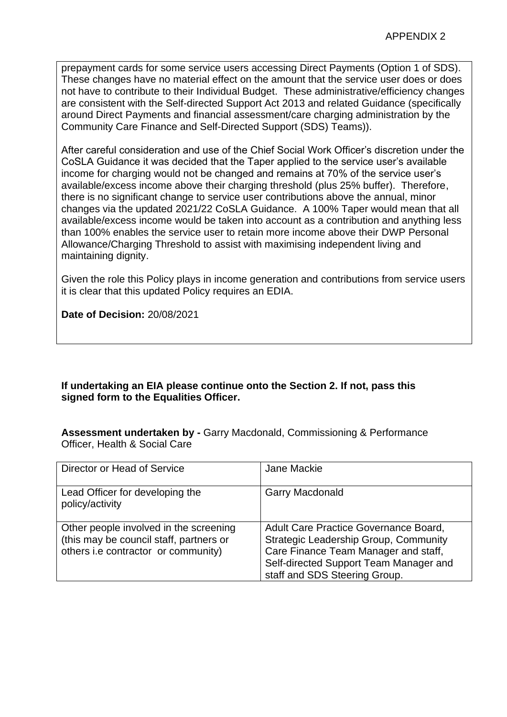prepayment cards for some service users accessing Direct Payments (Option 1 of SDS). These changes have no material effect on the amount that the service user does or does not have to contribute to their Individual Budget. These administrative/efficiency changes are consistent with the Self-directed Support Act 2013 and related Guidance (specifically around Direct Payments and financial assessment/care charging administration by the Community Care Finance and Self-Directed Support (SDS) Teams)).

After careful consideration and use of the Chief Social Work Officer's discretion under the CoSLA Guidance it was decided that the Taper applied to the service user's available income for charging would not be changed and remains at 70% of the service user's available/excess income above their charging threshold (plus 25% buffer). Therefore, there is no significant change to service user contributions above the annual, minor changes via the updated 2021/22 CoSLA Guidance. A 100% Taper would mean that all available/excess income would be taken into account as a contribution and anything less than 100% enables the service user to retain more income above their DWP Personal Allowance/Charging Threshold to assist with maximising independent living and maintaining dignity.

Given the role this Policy plays in income generation and contributions from service users it is clear that this updated Policy requires an EDIA.

**Date of Decision:** 20/08/2021

## **If undertaking an EIA please continue onto the Section 2. If not, pass this signed form to the Equalities Officer.**

**Assessment undertaken by -** Garry Macdonald, Commissioning & Performance Officer, Health & Social Care

| Director or Head of Service                                                                                              | Jane Mackie                                                                                                                                                                                              |
|--------------------------------------------------------------------------------------------------------------------------|----------------------------------------------------------------------------------------------------------------------------------------------------------------------------------------------------------|
| Lead Officer for developing the<br>policy/activity                                                                       | <b>Garry Macdonald</b>                                                                                                                                                                                   |
| Other people involved in the screening<br>(this may be council staff, partners or<br>others i.e contractor or community) | Adult Care Practice Governance Board,<br><b>Strategic Leadership Group, Community</b><br>Care Finance Team Manager and staff,<br>Self-directed Support Team Manager and<br>staff and SDS Steering Group. |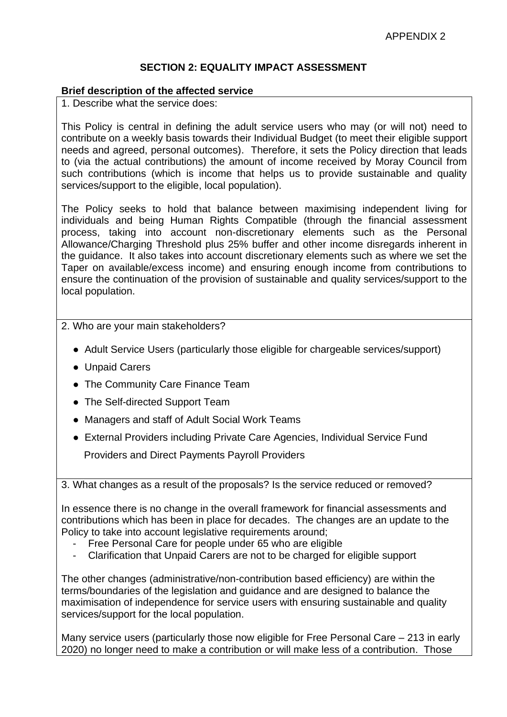# **SECTION 2: EQUALITY IMPACT ASSESSMENT**

#### **Brief description of the affected service**

1. Describe what the service does:

This Policy is central in defining the adult service users who may (or will not) need to contribute on a weekly basis towards their Individual Budget (to meet their eligible support needs and agreed, personal outcomes). Therefore, it sets the Policy direction that leads to (via the actual contributions) the amount of income received by Moray Council from such contributions (which is income that helps us to provide sustainable and quality services/support to the eligible, local population).

The Policy seeks to hold that balance between maximising independent living for individuals and being Human Rights Compatible (through the financial assessment process, taking into account non-discretionary elements such as the Personal Allowance/Charging Threshold plus 25% buffer and other income disregards inherent in the guidance. It also takes into account discretionary elements such as where we set the Taper on available/excess income) and ensuring enough income from contributions to ensure the continuation of the provision of sustainable and quality services/support to the local population.

### 2. Who are your main stakeholders?

- Adult Service Users (particularly those eligible for chargeable services/support)
- Unpaid Carers
- The Community Care Finance Team
- The Self-directed Support Team
- Managers and staff of Adult Social Work Teams
- External Providers including Private Care Agencies, Individual Service Fund Providers and Direct Payments Payroll Providers

3. What changes as a result of the proposals? Is the service reduced or removed?

In essence there is no change in the overall framework for financial assessments and contributions which has been in place for decades. The changes are an update to the Policy to take into account legislative requirements around;

- Free Personal Care for people under 65 who are eligible
- Clarification that Unpaid Carers are not to be charged for eligible support

The other changes (administrative/non-contribution based efficiency) are within the terms/boundaries of the legislation and guidance and are designed to balance the maximisation of independence for service users with ensuring sustainable and quality services/support for the local population.

Many service users (particularly those now eligible for Free Personal Care – 213 in early 2020) no longer need to make a contribution or will make less of a contribution. Those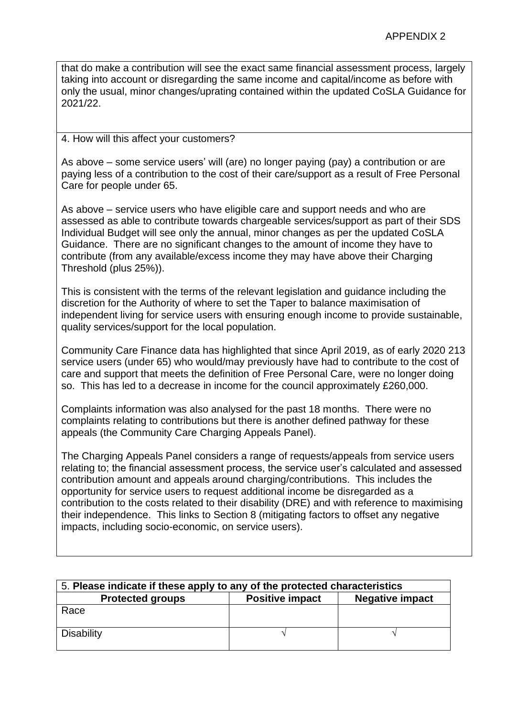that do make a contribution will see the exact same financial assessment process, largely taking into account or disregarding the same income and capital/income as before with only the usual, minor changes/uprating contained within the updated CoSLA Guidance for 2021/22.

### 4. How will this affect your customers?

As above – some service users' will (are) no longer paying (pay) a contribution or are paying less of a contribution to the cost of their care/support as a result of Free Personal Care for people under 65.

As above – service users who have eligible care and support needs and who are assessed as able to contribute towards chargeable services/support as part of their SDS Individual Budget will see only the annual, minor changes as per the updated CoSLA Guidance. There are no significant changes to the amount of income they have to contribute (from any available/excess income they may have above their Charging Threshold (plus 25%)).

This is consistent with the terms of the relevant legislation and guidance including the discretion for the Authority of where to set the Taper to balance maximisation of independent living for service users with ensuring enough income to provide sustainable, quality services/support for the local population.

Community Care Finance data has highlighted that since April 2019, as of early 2020 213 service users (under 65) who would/may previously have had to contribute to the cost of care and support that meets the definition of Free Personal Care, were no longer doing so. This has led to a decrease in income for the council approximately £260,000.

Complaints information was also analysed for the past 18 months. There were no complaints relating to contributions but there is another defined pathway for these appeals (the Community Care Charging Appeals Panel).

The Charging Appeals Panel considers a range of requests/appeals from service users relating to; the financial assessment process, the service user's calculated and assessed contribution amount and appeals around charging/contributions. This includes the opportunity for service users to request additional income be disregarded as a contribution to the costs related to their disability (DRE) and with reference to maximising their independence. This links to Section 8 (mitigating factors to offset any negative impacts, including socio-economic, on service users).

| 5. Please indicate if these apply to any of the protected characteristics |                        |                        |
|---------------------------------------------------------------------------|------------------------|------------------------|
| <b>Protected groups</b>                                                   | <b>Positive impact</b> | <b>Negative impact</b> |
| Race                                                                      |                        |                        |
| <b>Disability</b>                                                         |                        |                        |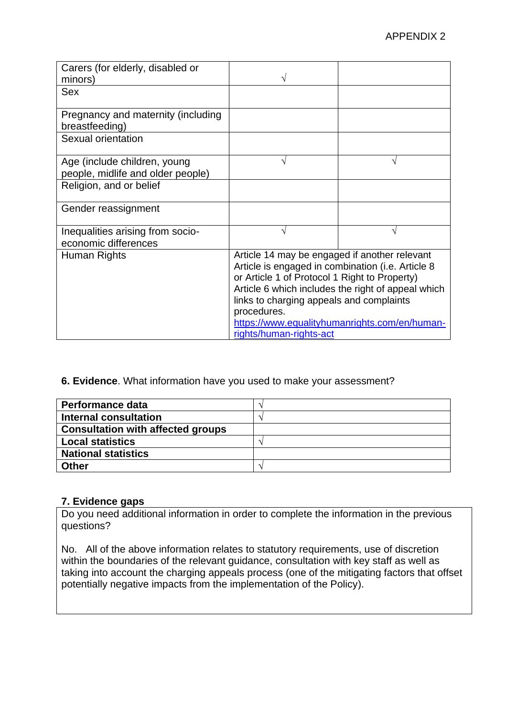| Carers (for elderly, disabled or<br>minors)                       |                                                                                                                                                                                                                                                                                                                                                  |   |
|-------------------------------------------------------------------|--------------------------------------------------------------------------------------------------------------------------------------------------------------------------------------------------------------------------------------------------------------------------------------------------------------------------------------------------|---|
| <b>Sex</b>                                                        |                                                                                                                                                                                                                                                                                                                                                  |   |
| Pregnancy and maternity (including<br>breastfeeding)              |                                                                                                                                                                                                                                                                                                                                                  |   |
| Sexual orientation                                                |                                                                                                                                                                                                                                                                                                                                                  |   |
| Age (include children, young<br>people, midlife and older people) |                                                                                                                                                                                                                                                                                                                                                  | V |
| Religion, and or belief                                           |                                                                                                                                                                                                                                                                                                                                                  |   |
| Gender reassignment                                               |                                                                                                                                                                                                                                                                                                                                                  |   |
| Inequalities arising from socio-<br>economic differences          |                                                                                                                                                                                                                                                                                                                                                  |   |
| Human Rights                                                      | Article 14 may be engaged if another relevant<br>Article is engaged in combination (i.e. Article 8<br>or Article 1 of Protocol 1 Right to Property)<br>Article 6 which includes the right of appeal which<br>links to charging appeals and complaints<br>procedures.<br>https://www.equalityhumanrights.com/en/human-<br>rights/human-rights-act |   |

### **6. Evidence**. What information have you used to make your assessment?

| Performance data                         |  |
|------------------------------------------|--|
| <b>Internal consultation</b>             |  |
| <b>Consultation with affected groups</b> |  |
| <b>Local statistics</b>                  |  |
| <b>National statistics</b>               |  |
| Other                                    |  |

## **7. Evidence gaps**

Do you need additional information in order to complete the information in the previous questions?

No. All of the above information relates to statutory requirements, use of discretion within the boundaries of the relevant guidance, consultation with key staff as well as taking into account the charging appeals process (one of the mitigating factors that offset potentially negative impacts from the implementation of the Policy).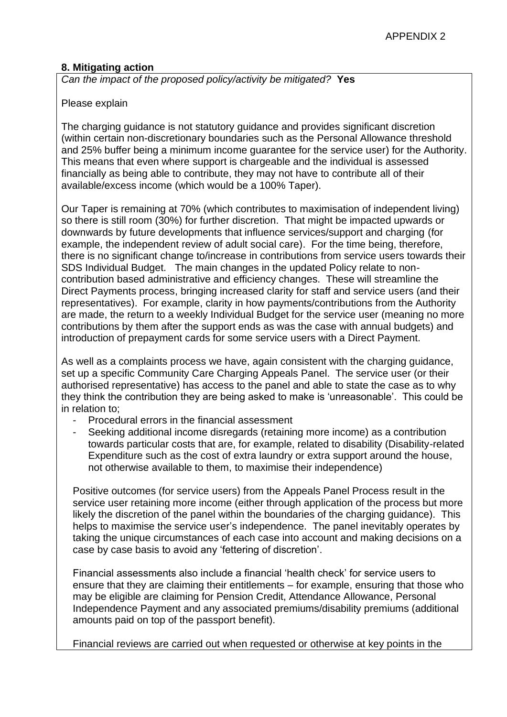## **8. Mitigating action**

*Can the impact of the proposed policy/activity be mitigated?* **Yes**

#### Please explain

The charging guidance is not statutory guidance and provides significant discretion (within certain non-discretionary boundaries such as the Personal Allowance threshold and 25% buffer being a minimum income guarantee for the service user) for the Authority. This means that even where support is chargeable and the individual is assessed financially as being able to contribute, they may not have to contribute all of their available/excess income (which would be a 100% Taper).

Our Taper is remaining at 70% (which contributes to maximisation of independent living) so there is still room (30%) for further discretion. That might be impacted upwards or downwards by future developments that influence services/support and charging (for example, the independent review of adult social care). For the time being, therefore, there is no significant change to/increase in contributions from service users towards their SDS Individual Budget. The main changes in the updated Policy relate to noncontribution based administrative and efficiency changes. These will streamline the Direct Payments process, bringing increased clarity for staff and service users (and their representatives). For example, clarity in how payments/contributions from the Authority are made, the return to a weekly Individual Budget for the service user (meaning no more contributions by them after the support ends as was the case with annual budgets) and introduction of prepayment cards for some service users with a Direct Payment.

As well as a complaints process we have, again consistent with the charging guidance, set up a specific Community Care Charging Appeals Panel. The service user (or their authorised representative) has access to the panel and able to state the case as to why they think the contribution they are being asked to make is 'unreasonable'. This could be in relation to;

- Procedural errors in the financial assessment
- Seeking additional income disregards (retaining more income) as a contribution towards particular costs that are, for example, related to disability (Disability-related Expenditure such as the cost of extra laundry or extra support around the house, not otherwise available to them, to maximise their independence)

Positive outcomes (for service users) from the Appeals Panel Process result in the service user retaining more income (either through application of the process but more likely the discretion of the panel within the boundaries of the charging guidance). This helps to maximise the service user's independence. The panel inevitably operates by taking the unique circumstances of each case into account and making decisions on a case by case basis to avoid any 'fettering of discretion'.

Financial assessments also include a financial 'health check' for service users to ensure that they are claiming their entitlements – for example, ensuring that those who may be eligible are claiming for Pension Credit, Attendance Allowance, Personal Independence Payment and any associated premiums/disability premiums (additional amounts paid on top of the passport benefit).

Financial reviews are carried out when requested or otherwise at key points in the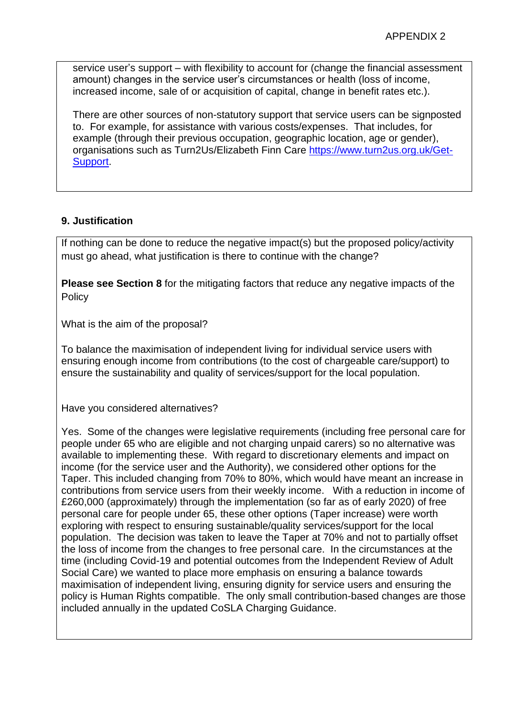service user's support – with flexibility to account for (change the financial assessment amount) changes in the service user's circumstances or health (loss of income, increased income, sale of or acquisition of capital, change in benefit rates etc.).

There are other sources of non-statutory support that service users can be signposted to. For example, for assistance with various costs/expenses. That includes, for example (through their previous occupation, geographic location, age or gender), organisations such as Turn2Us/Elizabeth Finn Care [https://www.turn2us.org.uk/Get-](https://www.turn2us.org.uk/Get-Support)[Support.](https://www.turn2us.org.uk/Get-Support)

# **9. Justification**

If nothing can be done to reduce the negative impact(s) but the proposed policy/activity must go ahead, what justification is there to continue with the change?

**Please see Section 8** for the mitigating factors that reduce any negative impacts of the **Policy** 

What is the aim of the proposal?

To balance the maximisation of independent living for individual service users with ensuring enough income from contributions (to the cost of chargeable care/support) to ensure the sustainability and quality of services/support for the local population.

Have you considered alternatives?

Yes. Some of the changes were legislative requirements (including free personal care for people under 65 who are eligible and not charging unpaid carers) so no alternative was available to implementing these. With regard to discretionary elements and impact on income (for the service user and the Authority), we considered other options for the Taper. This included changing from 70% to 80%, which would have meant an increase in contributions from service users from their weekly income. With a reduction in income of £260,000 (approximately) through the implementation (so far as of early 2020) of free personal care for people under 65, these other options (Taper increase) were worth exploring with respect to ensuring sustainable/quality services/support for the local population. The decision was taken to leave the Taper at 70% and not to partially offset the loss of income from the changes to free personal care. In the circumstances at the time (including Covid-19 and potential outcomes from the Independent Review of Adult Social Care) we wanted to place more emphasis on ensuring a balance towards maximisation of independent living, ensuring dignity for service users and ensuring the policy is Human Rights compatible. The only small contribution-based changes are those included annually in the updated CoSLA Charging Guidance.